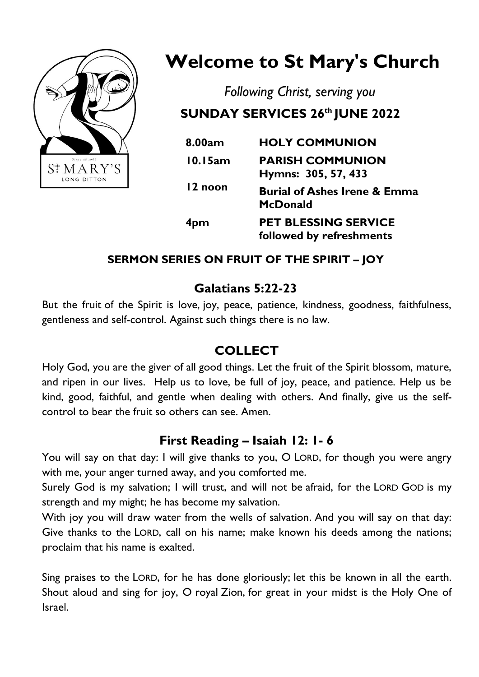

## **Welcome to St Mary's Church**

*Following Christ, serving you*

# **SUNDAY SERVICES 26th JUNE 2022**

| 8.00am  | <b>HOLY COMMUNION</b>                                      |
|---------|------------------------------------------------------------|
| 10.15am | <b>PARISH COMMUNION</b><br>Hymns: 305, 57, 433             |
| 12 noon | <b>Burial of Ashes Irene &amp; Emma</b><br><b>McDonald</b> |
| 4pm     | <b>PET BLESSING SERVICE</b><br>followed by refreshments    |

#### **SERMON SERIES ON FRUIT OF THE SPIRIT – JOY**

#### **Galatians 5:22-23**

But the fruit of the Spirit is love, joy, peace, patience, kindness, goodness, faithfulness, gentleness and self-control. Against such things there is no law.

#### **COLLECT**

Holy God, you are the giver of all good things. Let the fruit of the Spirit blossom, mature, and ripen in our lives. Help us to love, be full of joy, peace, and patience. Help us be kind, good, faithful, and gentle when dealing with others. And finally, give us the selfcontrol to bear the fruit so others can see. Amen.

#### **First Reading – Isaiah 12: 1- 6**

You will say on that day: I will give thanks to you, O LORD, for though you were angry with me, your anger turned away, and you comforted me.

Surely God is my salvation; I will trust, and will not be afraid, for the LORD GOD is my strength and my might; he has become my salvation.

With joy you will draw water from the wells of salvation. And you will say on that day: Give thanks to the LORD, call on his name; make known his deeds among the nations; proclaim that his name is exalted.

Sing praises to the LORD, for he has done gloriously; let this be known in all the earth. Shout aloud and sing for joy, O royal Zion, for great in your midst is the Holy One of Israel.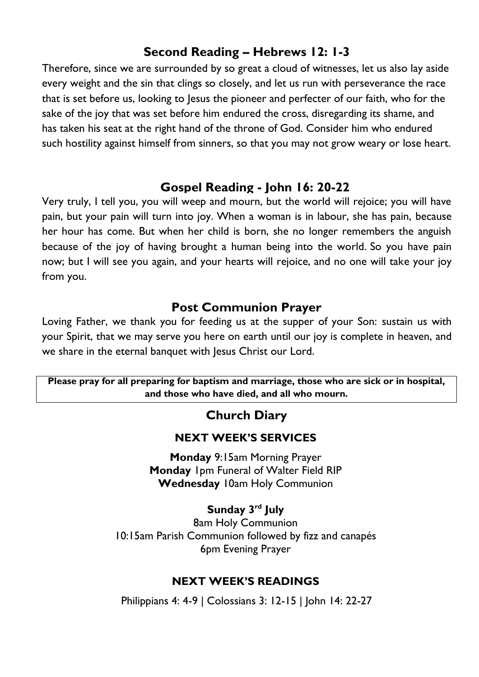#### **Second Reading – Hebrews 12: 1-3**

Therefore, since we are surrounded by so great a cloud of witnesses, let us also lay aside every weight and the sin that clings so closely, and let us run with perseverance the race that is set before us, looking to Jesus the pioneer and perfecter of our faith, who for the sake of the joy that was set before him endured the cross, disregarding its shame, and has taken his seat at the right hand of the throne of God. Consider him who endured such hostility against himself from sinners, so that you may not grow weary or lose heart.

#### **Gospel Reading - John 16: 20-22**

Very truly, I tell you, you will weep and mourn, but the world will rejoice; you will have pain, but your pain will turn into joy. When a woman is in labour, she has pain, because her hour has come. But when her child is born, she no longer remembers the anguish because of the joy of having brought a human being into the world. So you have pain now; but I will see you again, and your hearts will rejoice, and no one will take your joy from you.

#### **Post Communion Prayer**

Loving Father, we thank you for feeding us at the supper of your Son: sustain us with your Spirit, that we may serve you here on earth until our joy is complete in heaven, and we share in the eternal banquet with Jesus Christ our Lord.

#### **Please pray for all preparing for baptism and marriage, those who are sick or in hospital, and those who have died, and all who mourn.**

#### **Church Diary**

#### **NEXT WEEK'S SERVICES**

**Monday** 9:15am Morning Prayer **Monday** 1pm Funeral of Walter Field RIP **Wednesday** 10am Holy Communion

#### **Sunday 3 rd July**

8am Holy Communion 10:15am Parish Communion followed by fizz and canapés 6pm Evening Prayer

#### **NEXT WEEK'S READINGS**

Philippians 4: 4-9 | Colossians 3: 12-15 | John 14: 22-27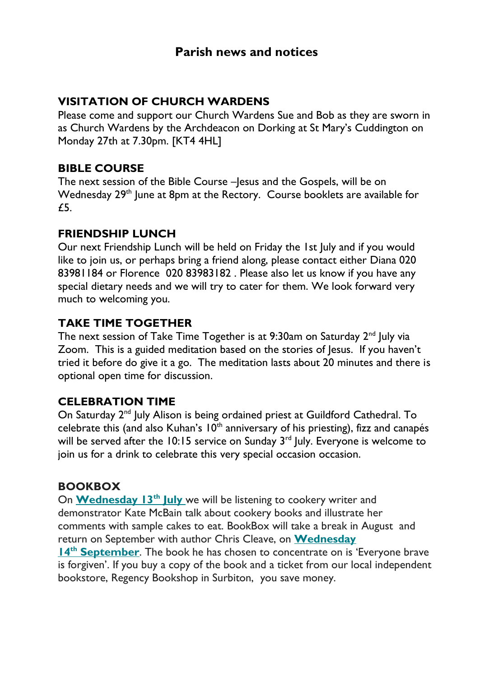#### **VISITATION OF CHURCH WARDENS**

Please come and support our Church Wardens Sue and Bob as they are sworn in as Church Wardens by the Archdeacon on Dorking at St Mary's Cuddington on Monday 27th at 7.30pm. [KT4 4HL]

#### **BIBLE COURSE**

The next session of the Bible Course –Jesus and the Gospels, will be on Wednesday 29<sup>th</sup> June at 8pm at the Rectory. Course booklets are available for £5.

#### **FRIENDSHIP LUNCH**

Our next Friendship Lunch will be held on Friday the 1st July and if you would like to join us, or perhaps bring a friend along, please contact either Diana 020 83981184 or Florence 020 83983182 . Please also let us know if you have any special dietary needs and we will try to cater for them. We look forward very much to welcoming you.

#### **TAKE TIME TOGETHER**

The next session of Take Time Together is at  $9:30$ am on Saturday  $2<sup>nd</sup>$  July via Zoom. This is a guided meditation based on the stories of Jesus. If you haven't tried it before do give it a go. The meditation lasts about 20 minutes and there is optional open time for discussion.

#### **CELEBRATION TIME**

On Saturday 2<sup>nd</sup> July Alison is being ordained priest at Guildford Cathedral. To celebrate this (and also Kuhan's  $10<sup>th</sup>$  anniversary of his priesting), fizz and canapés will be served after the 10:15 service on Sunday  $3<sup>rd</sup>$  July. Everyone is welcome to join us for a drink to celebrate this very special occasion occasion.

#### **BOOKBOX**

On **[Wednesday 13](https://stmaryslongditton.us8.list-manage.com/track/click?u=ef69c0e76376fb9d3af47cc1e&id=e0cb38cde4&e=b2a01018f9)th Jul[y](https://stmaryslongditton.us8.list-manage.com/track/click?u=ef69c0e76376fb9d3af47cc1e&id=e0cb38cde4&e=b2a01018f9)** we will be listening to cookery writer and demonstrator Kate McBain talk about cookery books and illustrate her comments with sample cakes to eat. BookBox will take a break in August and return on September with author Chris Cleave, on **[Wednesday](https://stmaryslongditton.us8.list-manage.com/track/click?u=ef69c0e76376fb9d3af47cc1e&id=8cc8a4f156&e=b2a01018f9)** 

**14th [September](https://stmaryslongditton.us8.list-manage.com/track/click?u=ef69c0e76376fb9d3af47cc1e&id=8cc8a4f156&e=b2a01018f9)**. The book he has chosen to concentrate on is 'Everyone brave is forgiven'. If you buy a copy of the book and a ticket from our local independent bookstore, Regency Bookshop in Surbiton, you save money.